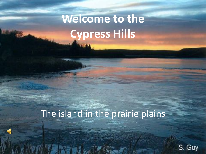# **Welcome to the Cypress Hills**

#### The island in the prairie plains

 $\bigoplus$ 

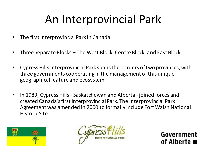### An Interprovincial Park

- The first Interprovincial Park in Canada
- Three Separate Blocks The West Block, Centre Block, and East Block
- Cypress Hills Interprovincial Park spans the borders of two provinces, with three governments cooperating in the management of this unique geographical feature and ecosystem.
- In 1989, Cypress Hills Saskatchewan and Alberta joined forces and created Canada's first Interprovincial Park. The Interprovincial Park Agreement was amended in 2000 to formally include Fort Walsh National Historic Site.



Government of Alberta I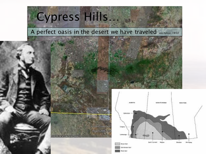

#### A perfect oasis in the desert we have traveled John Palliser, *<sup>1850</sup>*

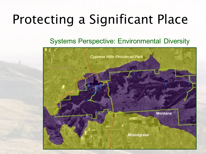# Protecting a Significant Place

#### Systems Perspective: Environmental Diversity

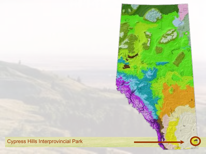Cypress Hills Interprovincial Park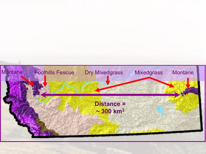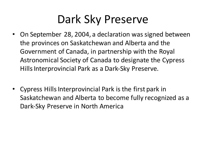### Dark Sky Preserve

- On September 28, 2004, a declaration was signed between the provinces on Saskatchewan and Alberta and the Government of Canada, in partnership with the Royal Astronomical Society of Canada to designate the Cypress Hills Interprovincial Park as a Dark-Sky Preserve.
- Cypress Hills Interprovincial Park is the first park in Saskatchewan and Alberta to become fully recognized as a Dark-Sky Preserve in North America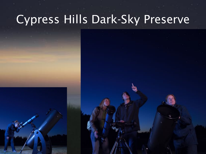### Cypress Hills Dark-Sky Preserve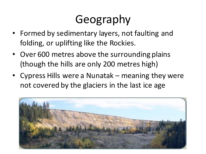## Geography

- Formed by sedimentary layers, not faulting and folding, or uplifting like the Rockies.
- Over 600 metres above the surrounding plains (though the hills are only 200 metres high)
- Cypress Hills were a Nunatak meaning they were not covered by the glaciers in the last ice age

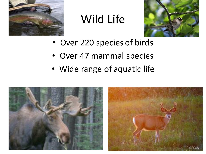

### Wild Life



- Over 220 species of birds
- Over 47 mammal species
- Wide range of aquatic life

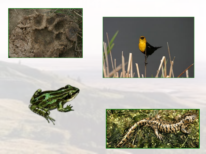





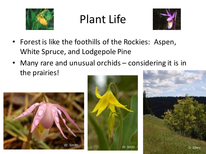

Plant Life



- Forest is like the foothills of the Rockies: Aspen, White Spruce, and Lodgepole Pine
- Many rare and unusual orchids considering it is in the prairies!





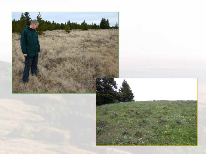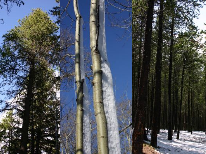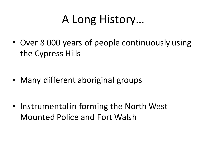## A Long History...

• Over 8 000 years of people continuously using the Cypress Hills

• Many different aboriginal groups

• Instrumental in forming the North West Mounted Police and Fort Walsh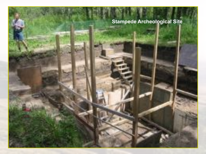#### **Stampede Archeological Site**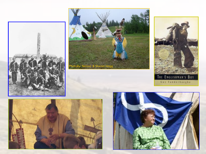





Guy Vanderhaeghe